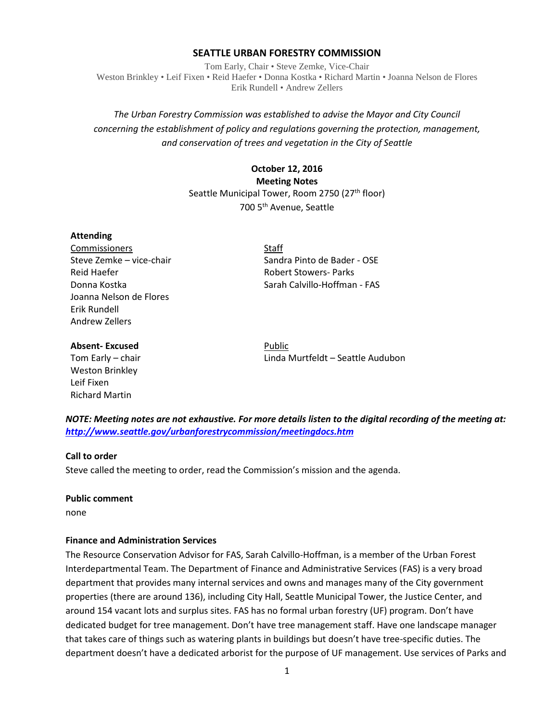#### **SEATTLE URBAN FORESTRY COMMISSION**

Tom Early, Chair • Steve Zemke, Vice-Chair Weston Brinkley • Leif Fixen • Reid Haefer • Donna Kostka • Richard Martin • Joanna Nelson de Flores Erik Rundell • Andrew Zellers

# *The Urban Forestry Commission was established to advise the Mayor and City Council concerning the establishment of policy and regulations governing the protection, management, and conservation of trees and vegetation in the City of Seattle*

# **October 12, 2016 Meeting Notes** Seattle Municipal Tower, Room 2750 (27<sup>th</sup> floor) 700 5th Avenue, Seattle

#### **Attending**

Commissioners Staff Reid Haefer **Robert Stowers- Parks** Joanna Nelson de Flores Erik Rundell Andrew Zellers

Steve Zemke – vice-chair Sandra Pinto de Bader - OSE Donna Kostka Sarah Calvillo-Hoffman - FAS

#### **Absent-Excused** Public

Weston Brinkley Leif Fixen Richard Martin

Tom Early – chair Linda Murtfeldt – Seattle Audubon

*NOTE: Meeting notes are not exhaustive. For more details listen to the digital recording of the meeting at: <http://www.seattle.gov/urbanforestrycommission/meetingdocs.htm>*

#### **Call to order**

Steve called the meeting to order, read the Commission's mission and the agenda.

#### **Public comment**

none

#### **Finance and Administration Services**

The Resource Conservation Advisor for FAS, Sarah Calvillo-Hoffman, is a member of the Urban Forest Interdepartmental Team. The Department of Finance and Administrative Services (FAS) is a very broad department that provides many internal services and owns and manages many of the City government properties (there are around 136), including City Hall, Seattle Municipal Tower, the Justice Center, and around 154 vacant lots and surplus sites. FAS has no formal urban forestry (UF) program. Don't have dedicated budget for tree management. Don't have tree management staff. Have one landscape manager that takes care of things such as watering plants in buildings but doesn't have tree-specific duties. The department doesn't have a dedicated arborist for the purpose of UF management. Use services of Parks and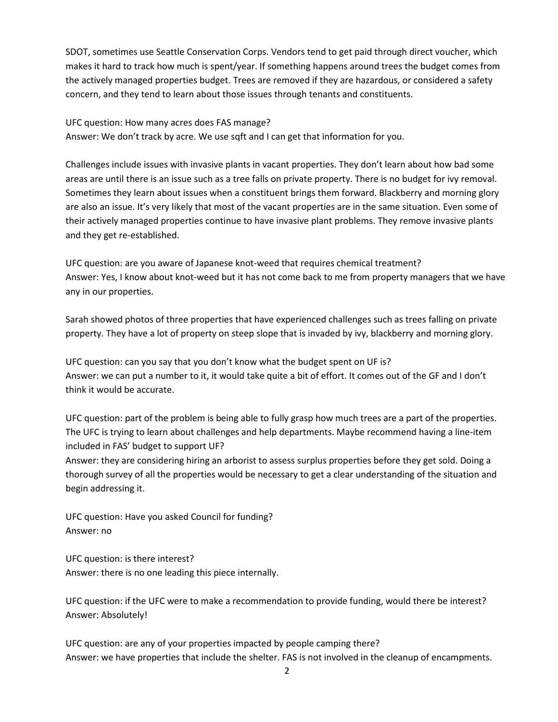SDOT, sometimes use Seattle Conservation Corps. Vendors tend to get paid through direct voucher, which makes it hard to track how much is spent/year. If something happens around trees the budget comes from the actively managed properties budget. Trees are removed if they are hazardous, or considered a safety concern, and they tend to learn about those issues through tenants and constituents.

UFC question: How many acres does FAS manage?

Answer: We don't track by acre. We use sqft and I can get that information for you.

Challenges include issues with invasive plants in vacant properties. They don't learn about how bad some areas are until there is an issue such as a tree falls on private property. There is no budget for ivy removal. Sometimes they learn about issues when a constituent brings them forward. Blackberry and morning glory are also an issue. It's very likely that most of the vacant properties are in the same situation. Even some of their actively managed properties continue to have invasive plant problems. They remove invasive plants and they get re-established.

UFC question: are you aware of Japanese knot-weed that requires chemical treatment? Answer: Yes, I know about knot-weed but it has not come back to me from property managers that we have any in our properties.

Sarah showed photos of three properties that have experienced challenges such as trees falling on private property. They have a lot of property on steep slope that is invaded by ivy, blackberry and morning glory.

UFC question: can you say that you don't know what the budget spent on UF is? Answer: we can put a number to it, it would take quite a bit of effort. It comes out of the GF and I don't think it would be accurate.

UFC question: part of the problem is being able to fully grasp how much trees are a part of the properties. The UFC is trying to learn about challenges and help departments. Maybe recommend having a line-item included in FAS' budget to support UF?

Answer: they are considering hiring an arborist to assess surplus properties before they get sold. Doing a thorough survey of all the properties would be necessary to get a clear understanding of the situation and begin addressing it.

UFC question: Have you asked Council for funding? Answer: no

UFC question: is there interest? Answer: there is no one leading this piece internally.

UFC question: if the UFC were to make a recommendation to provide funding, would there be interest? Answer: Absolutely!

UFC question: are any of your properties impacted by people camping there? Answer: we have properties that include the shelter. FAS is not involved in the cleanup of encampments.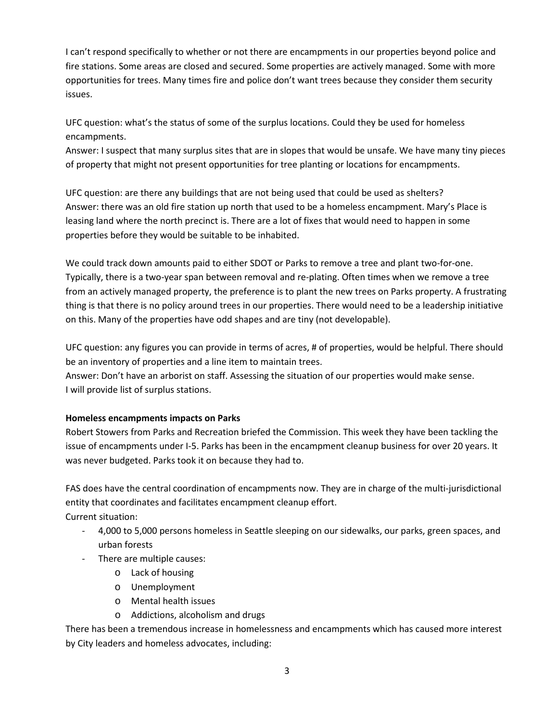I can't respond specifically to whether or not there are encampments in our properties beyond police and fire stations. Some areas are closed and secured. Some properties are actively managed. Some with more opportunities for trees. Many times fire and police don't want trees because they consider them security issues.

UFC question: what's the status of some of the surplus locations. Could they be used for homeless encampments.

Answer: I suspect that many surplus sites that are in slopes that would be unsafe. We have many tiny pieces of property that might not present opportunities for tree planting or locations for encampments.

UFC question: are there any buildings that are not being used that could be used as shelters? Answer: there was an old fire station up north that used to be a homeless encampment. Mary's Place is leasing land where the north precinct is. There are a lot of fixes that would need to happen in some properties before they would be suitable to be inhabited.

We could track down amounts paid to either SDOT or Parks to remove a tree and plant two-for-one. Typically, there is a two-year span between removal and re-plating. Often times when we remove a tree from an actively managed property, the preference is to plant the new trees on Parks property. A frustrating thing is that there is no policy around trees in our properties. There would need to be a leadership initiative on this. Many of the properties have odd shapes and are tiny (not developable).

UFC question: any figures you can provide in terms of acres, # of properties, would be helpful. There should be an inventory of properties and a line item to maintain trees.

Answer: Don't have an arborist on staff. Assessing the situation of our properties would make sense. I will provide list of surplus stations.

## **Homeless encampments impacts on Parks**

Robert Stowers from Parks and Recreation briefed the Commission. This week they have been tackling the issue of encampments under I-5. Parks has been in the encampment cleanup business for over 20 years. It was never budgeted. Parks took it on because they had to.

FAS does have the central coordination of encampments now. They are in charge of the multi-jurisdictional entity that coordinates and facilitates encampment cleanup effort. Current situation:

- 4,000 to 5,000 persons homeless in Seattle sleeping on our sidewalks, our parks, green spaces, and urban forests
- There are multiple causes:
	- o Lack of housing
	- o Unemployment
	- o Mental health issues
	- o Addictions, alcoholism and drugs

There has been a tremendous increase in homelessness and encampments which has caused more interest by City leaders and homeless advocates, including: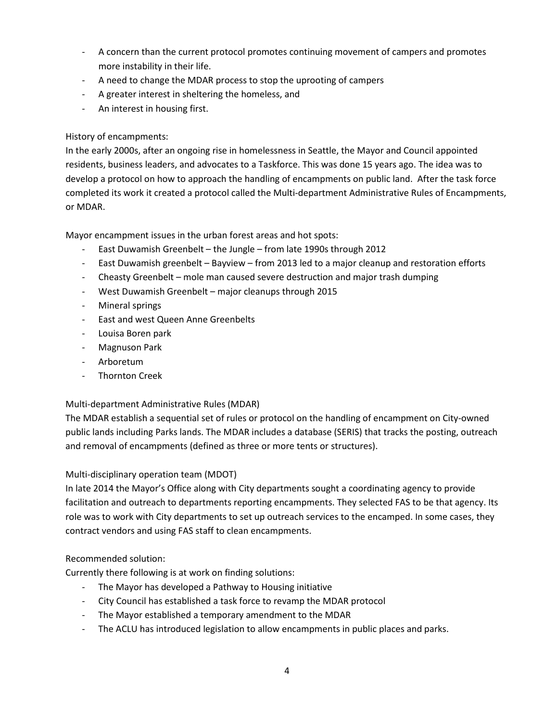- A concern than the current protocol promotes continuing movement of campers and promotes more instability in their life.
- A need to change the MDAR process to stop the uprooting of campers
- A greater interest in sheltering the homeless, and
- An interest in housing first.

## History of encampments:

In the early 2000s, after an ongoing rise in homelessness in Seattle, the Mayor and Council appointed residents, business leaders, and advocates to a Taskforce. This was done 15 years ago. The idea was to develop a protocol on how to approach the handling of encampments on public land. After the task force completed its work it created a protocol called the Multi-department Administrative Rules of Encampments, or MDAR.

Mayor encampment issues in the urban forest areas and hot spots:

- East Duwamish Greenbelt the Jungle from late 1990s through 2012
- East Duwamish greenbelt Bayview from 2013 led to a major cleanup and restoration efforts
- Cheasty Greenbelt mole man caused severe destruction and major trash dumping
- West Duwamish Greenbelt major cleanups through 2015
- Mineral springs
- East and west Queen Anne Greenbelts
- Louisa Boren park
- Magnuson Park
- Arboretum
- Thornton Creek

## Multi-department Administrative Rules (MDAR)

The MDAR establish a sequential set of rules or protocol on the handling of encampment on City-owned public lands including Parks lands. The MDAR includes a database (SERIS) that tracks the posting, outreach and removal of encampments (defined as three or more tents or structures).

## Multi-disciplinary operation team (MDOT)

In late 2014 the Mayor's Office along with City departments sought a coordinating agency to provide facilitation and outreach to departments reporting encampments. They selected FAS to be that agency. Its role was to work with City departments to set up outreach services to the encamped. In some cases, they contract vendors and using FAS staff to clean encampments.

## Recommended solution:

Currently there following is at work on finding solutions:

- The Mayor has developed a Pathway to Housing initiative
- City Council has established a task force to revamp the MDAR protocol
- The Mayor established a temporary amendment to the MDAR
- The ACLU has introduced legislation to allow encampments in public places and parks.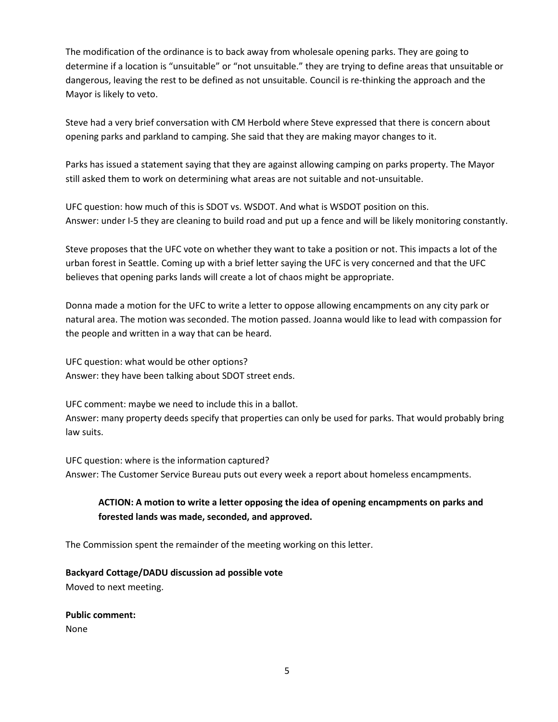The modification of the ordinance is to back away from wholesale opening parks. They are going to determine if a location is "unsuitable" or "not unsuitable." they are trying to define areas that unsuitable or dangerous, leaving the rest to be defined as not unsuitable. Council is re-thinking the approach and the Mayor is likely to veto.

Steve had a very brief conversation with CM Herbold where Steve expressed that there is concern about opening parks and parkland to camping. She said that they are making mayor changes to it.

Parks has issued a statement saying that they are against allowing camping on parks property. The Mayor still asked them to work on determining what areas are not suitable and not-unsuitable.

UFC question: how much of this is SDOT vs. WSDOT. And what is WSDOT position on this. Answer: under I-5 they are cleaning to build road and put up a fence and will be likely monitoring constantly.

Steve proposes that the UFC vote on whether they want to take a position or not. This impacts a lot of the urban forest in Seattle. Coming up with a brief letter saying the UFC is very concerned and that the UFC believes that opening parks lands will create a lot of chaos might be appropriate.

Donna made a motion for the UFC to write a letter to oppose allowing encampments on any city park or natural area. The motion was seconded. The motion passed. Joanna would like to lead with compassion for the people and written in a way that can be heard.

UFC question: what would be other options? Answer: they have been talking about SDOT street ends.

UFC comment: maybe we need to include this in a ballot. Answer: many property deeds specify that properties can only be used for parks. That would probably bring law suits.

UFC question: where is the information captured? Answer: The Customer Service Bureau puts out every week a report about homeless encampments.

# **ACTION: A motion to write a letter opposing the idea of opening encampments on parks and forested lands was made, seconded, and approved.**

The Commission spent the remainder of the meeting working on this letter.

### **Backyard Cottage/DADU discussion ad possible vote**

Moved to next meeting.

**Public comment:** None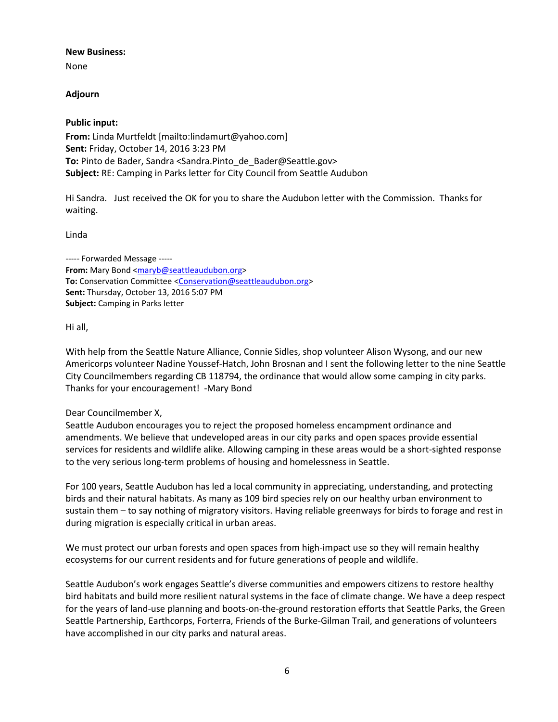#### **New Business:**

None

### **Adjourn**

### **Public input:**

**From:** Linda Murtfeldt [mailto:lindamurt@yahoo.com] **Sent:** Friday, October 14, 2016 3:23 PM **To:** Pinto de Bader, Sandra <Sandra.Pinto\_de\_Bader@Seattle.gov> **Subject:** RE: Camping in Parks letter for City Council from Seattle Audubon

Hi Sandra. Just received the OK for you to share the Audubon letter with the Commission. Thanks for waiting.

Linda

----- Forwarded Message ----- From: Mary Bond [<maryb@seattleaudubon.org>](javascript:return) **To:** Conservation Committee [<Conservation@seattleaudubon.org>](javascript:return) **Sent:** Thursday, October 13, 2016 5:07 PM **Subject:** Camping in Parks letter

Hi all,

With help from the Seattle Nature Alliance, Connie Sidles, shop volunteer Alison Wysong, and our new Americorps volunteer Nadine Youssef-Hatch, John Brosnan and I sent the following letter to the nine Seattle City Councilmembers regarding CB 118794, the ordinance that would allow some camping in city parks. Thanks for your encouragement! -Mary Bond

### Dear Councilmember X,

Seattle Audubon encourages you to reject the proposed homeless encampment ordinance and amendments. We believe that undeveloped areas in our city parks and open spaces provide essential services for residents and wildlife alike. Allowing camping in these areas would be a short-sighted response to the very serious long-term problems of housing and homelessness in Seattle.

For 100 years, Seattle Audubon has led a local community in appreciating, understanding, and protecting birds and their natural habitats. As many as 109 bird species rely on our healthy urban environment to sustain them – to say nothing of migratory visitors. Having reliable greenways for birds to forage and rest in during migration is especially critical in urban areas.

We must protect our urban forests and open spaces from high-impact use so they will remain healthy ecosystems for our current residents and for future generations of people and wildlife.

Seattle Audubon's work engages Seattle's diverse communities and empowers citizens to restore healthy bird habitats and build more resilient natural systems in the face of climate change. We have a deep respect for the years of land-use planning and boots-on-the-ground restoration efforts that Seattle Parks, the Green Seattle Partnership, Earthcorps, Forterra, Friends of the Burke-Gilman Trail, and generations of volunteers have accomplished in our city parks and natural areas.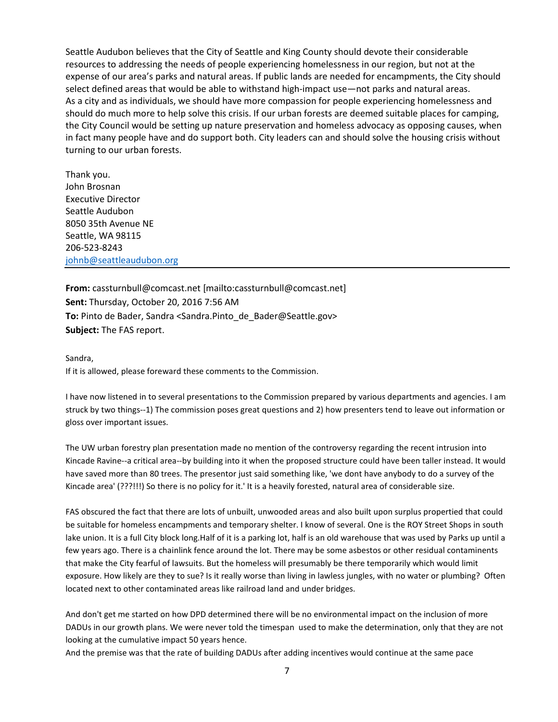Seattle Audubon believes that the City of Seattle and King County should devote their considerable resources to addressing the needs of people experiencing homelessness in our region, but not at the expense of our area's parks and natural areas. If public lands are needed for encampments, the City should select defined areas that would be able to withstand high-impact use—not parks and natural areas. As a city and as individuals, we should have more compassion for people experiencing homelessness and should do much more to help solve this crisis. If our urban forests are deemed suitable places for camping, the City Council would be setting up nature preservation and homeless advocacy as opposing causes, when in fact many people have and do support both. City leaders can and should solve the housing crisis without turning to our urban forests.

Thank you. John Brosnan Executive Director Seattle Audubon 8050 35th Avenue NE Seattle, WA 98115 206-523-8243 [johnb@seattleaudubon.org](javascript:return)

**From:** cassturnbull@comcast.net [mailto:cassturnbull@comcast.net] **Sent:** Thursday, October 20, 2016 7:56 AM **To:** Pinto de Bader, Sandra <Sandra.Pinto\_de\_Bader@Seattle.gov> **Subject:** The FAS report.

#### Sandra,

If it is allowed, please foreward these comments to the Commission.

I have now listened in to several presentations to the Commission prepared by various departments and agencies. I am struck by two things--1) The commission poses great questions and 2) how presenters tend to leave out information or gloss over important issues.

The UW urban forestry plan presentation made no mention of the controversy regarding the recent intrusion into Kincade Ravine--a critical area--by building into it when the proposed structure could have been taller instead. It would have saved more than 80 trees. The presentor just said something like, 'we dont have anybody to do a survey of the Kincade area' (???!!!) So there is no policy for it.' It is a heavily forested, natural area of considerable size.

FAS obscured the fact that there are lots of unbuilt, unwooded areas and also built upon surplus propertied that could be suitable for homeless encampments and temporary shelter. I know of several. One is the ROY Street Shops in south lake union. It is a full City block long.Half of it is a parking lot, half is an old warehouse that was used by Parks up until a few years ago. There is a chainlink fence around the lot. There may be some asbestos or other residual contaminents that make the City fearful of lawsuits. But the homeless will presumably be there temporarily which would limit exposure. How likely are they to sue? Is it really worse than living in lawless jungles, with no water or plumbing? Often located next to other contaminated areas like railroad land and under bridges.

And don't get me started on how DPD determined there will be no environmental impact on the inclusion of more DADUs in our growth plans. We were never told the timespan used to make the determination, only that they are not looking at the cumulative impact 50 years hence.

And the premise was that the rate of building DADUs after adding incentives would continue at the same pace